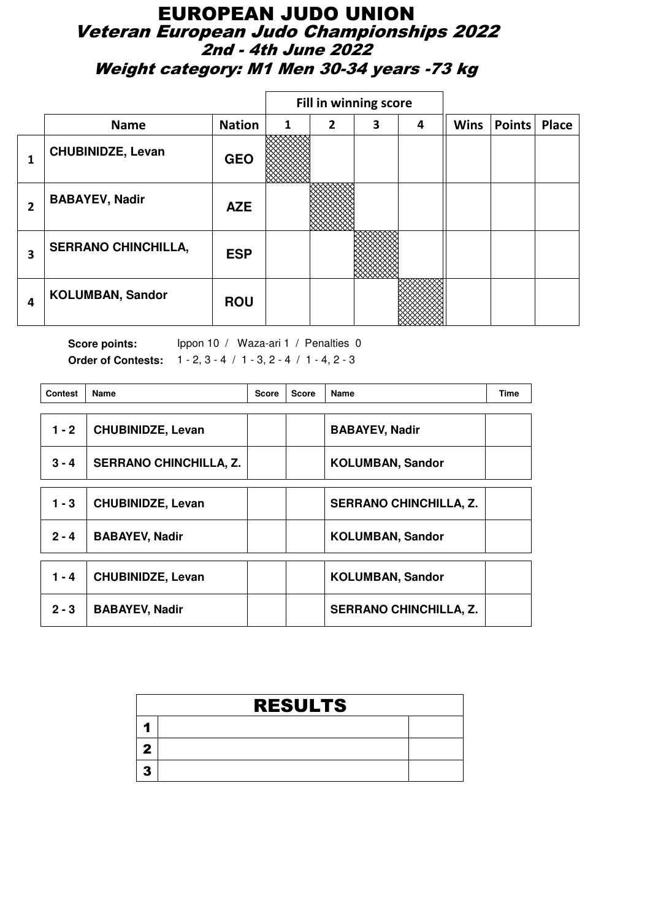### EUROPEAN JUDO UNION Veteran European Judo Championships 2022 2nd - 4th June 2022 Weight category: M1 Men 30-34 years -73 kg

|   |                            |               |   | Fill in winning score |   |   |             |        |       |
|---|----------------------------|---------------|---|-----------------------|---|---|-------------|--------|-------|
|   | <b>Name</b>                | <b>Nation</b> | 1 | 2                     | 3 | 4 | <b>Wins</b> | Points | Place |
|   | <b>CHUBINIDZE, Levan</b>   | <b>GEO</b>    |   |                       |   |   |             |        |       |
| 2 | <b>BABAYEV, Nadir</b>      | <b>AZE</b>    |   |                       |   |   |             |        |       |
| 3 | <b>SERRANO CHINCHILLA,</b> | <b>ESP</b>    |   |                       |   |   |             |        |       |
| 4 | <b>KOLUMBAN, Sandor</b>    | <b>ROU</b>    |   |                       |   |   |             |        |       |

| <b>Contest</b> | <b>Name</b>                   | <b>Score</b> | <b>Score</b> | Name                          | Time |
|----------------|-------------------------------|--------------|--------------|-------------------------------|------|
| $1 - 2$        | <b>CHUBINIDZE, Levan</b>      |              |              | <b>BABAYEV, Nadir</b>         |      |
| $3 - 4$        | <b>SERRANO CHINCHILLA, Z.</b> |              |              | <b>KOLUMBAN, Sandor</b>       |      |
| $1 - 3$        | <b>CHUBINIDZE, Levan</b>      |              |              | <b>SERRANO CHINCHILLA, Z.</b> |      |
| $2 - 4$        | <b>BABAYEV, Nadir</b>         |              |              | <b>KOLUMBAN, Sandor</b>       |      |
| 1 - 4          | <b>CHUBINIDZE, Levan</b>      |              |              | <b>KOLUMBAN, Sandor</b>       |      |
| $2 - 3$        | <b>BABAYEV, Nadir</b>         |              |              | <b>SERRANO CHINCHILLA, Z.</b> |      |

| <b>RESULTS</b> |  |
|----------------|--|
|                |  |
|                |  |
|                |  |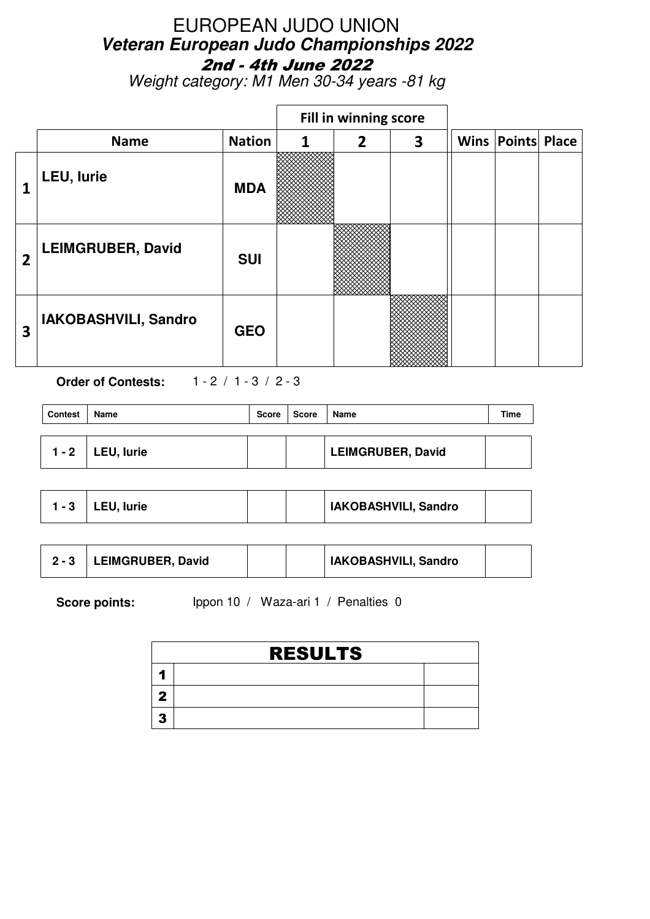Weight category: M1 Men 30-34 years -81 kg

|                |                          |               |   | Fill in winning score |   |                          |  |
|----------------|--------------------------|---------------|---|-----------------------|---|--------------------------|--|
|                | <b>Name</b>              | <b>Nation</b> | 1 | $\overline{2}$        | 3 | <b>Wins Points Place</b> |  |
|                | LEU, lurie               | <b>MDA</b>    |   |                       |   |                          |  |
| $\overline{2}$ | <b>LEIMGRUBER, David</b> | <b>SUI</b>    |   |                       |   |                          |  |
| 3              | IAKOBASHVILI, Sandro     | <b>GEO</b>    |   |                       |   |                          |  |

**Order of Contests:** 1 - 2 / 1 - 3 / 2 - 3

| <b>Contest</b> | Name               | Score | Score | Name                     | Time |
|----------------|--------------------|-------|-------|--------------------------|------|
|                | $1 - 2$ LEU, lurie |       |       | <b>LEIMGRUBER, David</b> |      |

|  | $1 - 3$   LEU, lurie |  |  | IAKOBASHVILI, Sandro |  |
|--|----------------------|--|--|----------------------|--|
|--|----------------------|--|--|----------------------|--|

|  | LEIMGRUBER, David |  |  | IAKOBASHVILI, Sandro |  |
|--|-------------------|--|--|----------------------|--|
|--|-------------------|--|--|----------------------|--|

|    | <b>RESULTS</b> |  |
|----|----------------|--|
|    |                |  |
|    |                |  |
| 49 |                |  |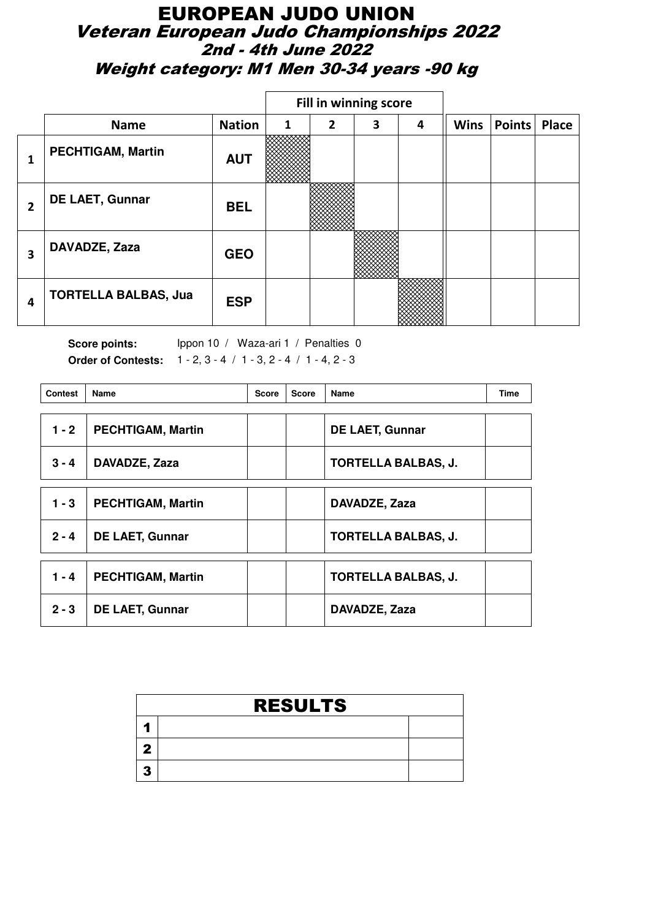### EUROPEAN JUDO UNION Veteran European Judo Championships 2022 2nd - 4th June 2022 Weight category: M1 Men 30-34 years -90 kg

|   |                             |               |   |                | Fill in winning score |   |             |        |       |
|---|-----------------------------|---------------|---|----------------|-----------------------|---|-------------|--------|-------|
|   | <b>Name</b>                 | <b>Nation</b> | 1 | $\overline{2}$ | 3                     | 4 | <b>Wins</b> | Points | Place |
|   | <b>PECHTIGAM, Martin</b>    | <b>AUT</b>    |   |                |                       |   |             |        |       |
| 2 | <b>DE LAET, Gunnar</b>      | <b>BEL</b>    |   |                |                       |   |             |        |       |
| 3 | DAVADZE, Zaza               | <b>GEO</b>    |   |                |                       |   |             |        |       |
| 4 | <b>TORTELLA BALBAS, Jua</b> | <b>ESP</b>    |   |                |                       |   |             |        |       |

| <b>Contest</b> | Name                     | <b>Score</b> | <b>Score</b> | Name                       | <b>Time</b> |
|----------------|--------------------------|--------------|--------------|----------------------------|-------------|
| $1 - 2$        | <b>PECHTIGAM, Martin</b> |              |              | <b>DE LAET, Gunnar</b>     |             |
| $3 - 4$        | DAVADZE, Zaza            |              |              | <b>TORTELLA BALBAS, J.</b> |             |
| $1 - 3$        | <b>PECHTIGAM, Martin</b> |              |              | DAVADZE, Zaza              |             |
| $2 - 4$        | <b>DE LAET, Gunnar</b>   |              |              | <b>TORTELLA BALBAS, J.</b> |             |
| $1 - 4$        | <b>PECHTIGAM, Martin</b> |              |              | <b>TORTELLA BALBAS, J.</b> |             |
| $2 - 3$        | <b>DE LAET, Gunnar</b>   |              |              | DAVADZE, Zaza              |             |

| <b>RESULTS</b> |  |
|----------------|--|
|                |  |
|                |  |
|                |  |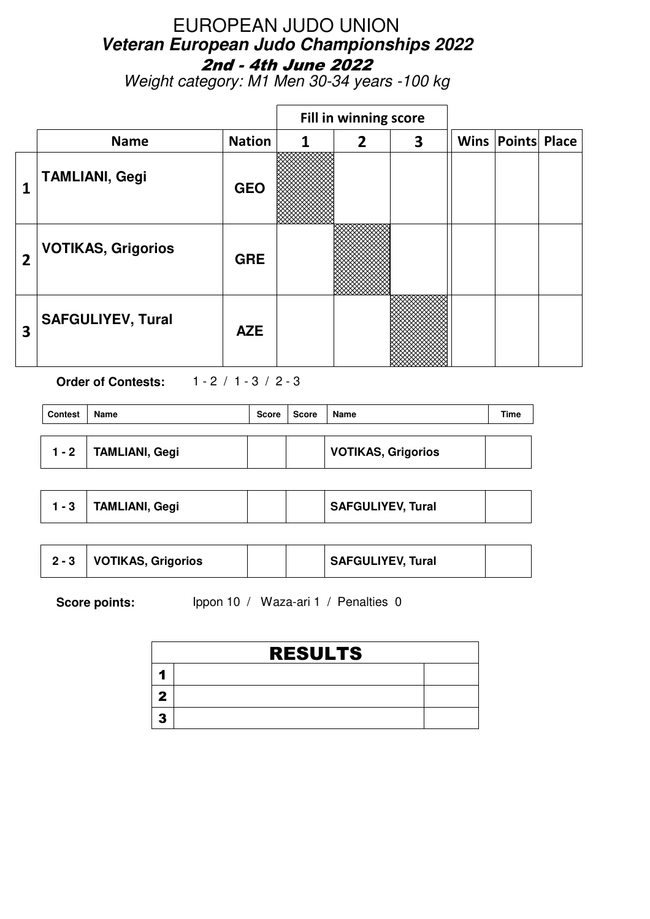Weight category: M1 Men 30-34 years -100 kg

|                         |                           |               |   | Fill in winning score |   |                          |  |
|-------------------------|---------------------------|---------------|---|-----------------------|---|--------------------------|--|
|                         | <b>Name</b>               | <b>Nation</b> | 1 | $\overline{2}$        | 3 | <b>Wins Points Place</b> |  |
| 1                       | <b>TAMLIANI, Gegi</b>     | <b>GEO</b>    |   |                       |   |                          |  |
| $\overline{2}$          | <b>VOTIKAS, Grigorios</b> | <b>GRE</b>    |   |                       |   |                          |  |
| $\overline{\mathbf{3}}$ | <b>SAFGULIYEV, Tural</b>  | <b>AZE</b>    |   |                       |   |                          |  |

**Order of Contests:** 1 - 2 / 1 - 3 / 2 - 3

| <b>Contest</b> | Name                  | <b>Score</b> | Score | Name                      | Time |
|----------------|-----------------------|--------------|-------|---------------------------|------|
| 1 - 2          | <b>TAMLIANI, Gegi</b> |              |       | <b>VOTIKAS, Grigorios</b> |      |

|  | <b>TAMLIANI, Gegi</b> |  |  | SAFGULIYEV, Tural |  |
|--|-----------------------|--|--|-------------------|--|
|--|-----------------------|--|--|-------------------|--|

|  | <b>VOTIKAS, Grigorios</b> |  |  | SAFGULIYEV, Tural |  |
|--|---------------------------|--|--|-------------------|--|
|--|---------------------------|--|--|-------------------|--|

| <b>RESULTS</b> |  |
|----------------|--|
|                |  |
|                |  |
|                |  |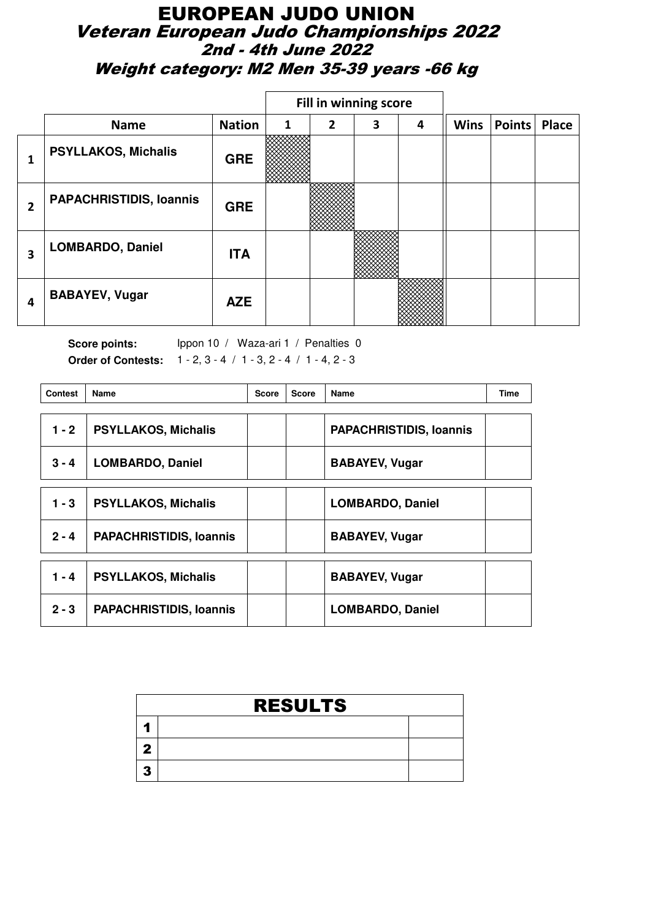### EUROPEAN JUDO UNION Veteran European Judo Championships 2022 2nd - 4th June 2022 Weight category: M2 Men 35-39 years -66 kg

|                |                                |               |   |   | Fill in winning score |   |             |        |              |
|----------------|--------------------------------|---------------|---|---|-----------------------|---|-------------|--------|--------------|
|                | <b>Name</b>                    | <b>Nation</b> | 1 | 2 | 3                     | 4 | <b>Wins</b> | Points | <b>Place</b> |
|                | <b>PSYLLAKOS, Michalis</b>     | <b>GRE</b>    |   |   |                       |   |             |        |              |
| $\overline{2}$ | <b>PAPACHRISTIDIS, Ioannis</b> | <b>GRE</b>    |   |   |                       |   |             |        |              |
| 3              | <b>LOMBARDO, Daniel</b>        | <b>ITA</b>    |   |   |                       |   |             |        |              |
| 4              | <b>BABAYEV, Vugar</b>          | <b>AZE</b>    |   |   |                       |   |             |        |              |

| <b>Contest</b> | Name                           | <b>Score</b> | <b>Score</b> | Name                           | <b>Time</b> |
|----------------|--------------------------------|--------------|--------------|--------------------------------|-------------|
| $1 - 2$        | <b>PSYLLAKOS, Michalis</b>     |              |              | <b>PAPACHRISTIDIS, Ioannis</b> |             |
| $3 - 4$        | <b>LOMBARDO, Daniel</b>        |              |              | <b>BABAYEV, Vugar</b>          |             |
| $1 - 3$        | <b>PSYLLAKOS, Michalis</b>     |              |              | <b>LOMBARDO, Daniel</b>        |             |
| $2 - 4$        | <b>PAPACHRISTIDIS, Ioannis</b> |              |              | <b>BABAYEV, Vugar</b>          |             |
| $1 - 4$        | <b>PSYLLAKOS, Michalis</b>     |              |              | <b>BABAYEV, Vugar</b>          |             |
| $2 - 3$        | <b>PAPACHRISTIDIS, Ioannis</b> |              |              | <b>LOMBARDO, Daniel</b>        |             |

| <b>RESULTS</b> |  |
|----------------|--|
|                |  |
|                |  |
|                |  |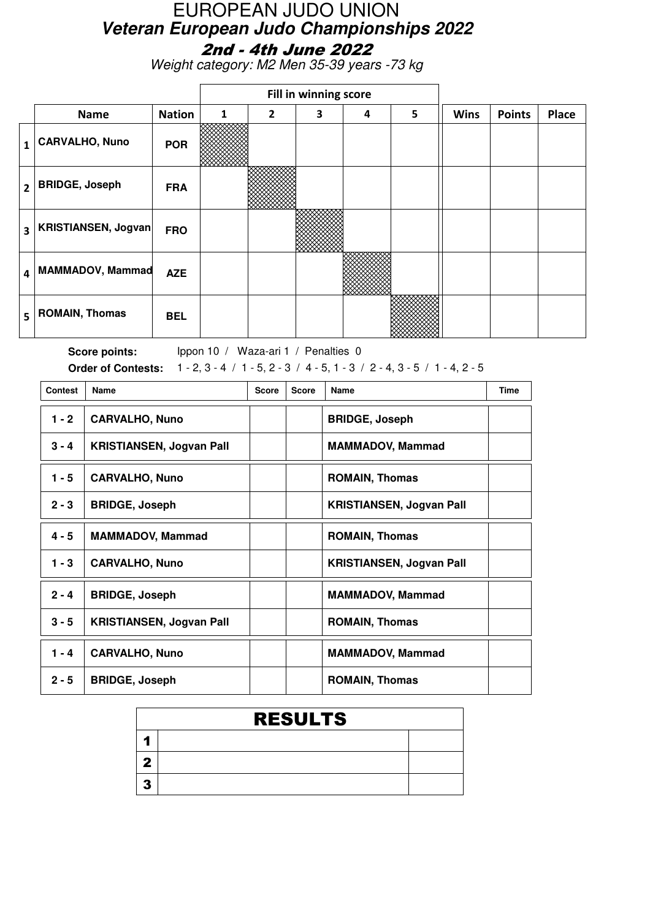Weight category: M2 Men 35-39 years -73 kg

|                |                       |               |              |                | Fill in winning score |   |   |             |               |       |
|----------------|-----------------------|---------------|--------------|----------------|-----------------------|---|---|-------------|---------------|-------|
|                | <b>Name</b>           | <b>Nation</b> | $\mathbf{1}$ | $\overline{2}$ | 3                     | 4 | 5 | <b>Wins</b> | <b>Points</b> | Place |
| 1              | <b>CARVALHO, Nuno</b> | <b>POR</b>    |              |                |                       |   |   |             |               |       |
| $\overline{2}$ | <b>BRIDGE, Joseph</b> | <b>FRA</b>    |              |                |                       |   |   |             |               |       |
| 3              | KRISTIANSEN, Jogvan   | <b>FRO</b>    |              |                |                       |   |   |             |               |       |
| 4              | MAMMADOV, Mammad      | <b>AZE</b>    |              |                |                       |   |   |             |               |       |
| 5              | <b>ROMAIN, Thomas</b> | <b>BEL</b>    |              |                |                       |   |   |             |               |       |

Score points: Ippon 10 / Waza-ari 1 / Penalties 0 **Order of Contests:** 1 - 2, 3 - 4 / 1 - 5, 2 - 3 / 4 - 5, 1 - 3 / 2 - 4, 3 - 5 / 1 - 4, 2 - 5

| <b>Contest</b> | Name                            | <b>Score</b> | <b>Score</b> | <b>Name</b>                     | <b>Time</b> |
|----------------|---------------------------------|--------------|--------------|---------------------------------|-------------|
| $1 - 2$        | <b>CARVALHO, Nuno</b>           |              |              | <b>BRIDGE, Joseph</b>           |             |
| $3 - 4$        | <b>KRISTIANSEN, Jogvan Pall</b> |              |              | <b>MAMMADOV, Mammad</b>         |             |
| $1 - 5$        | <b>CARVALHO, Nuno</b>           |              |              | <b>ROMAIN, Thomas</b>           |             |
| $2 - 3$        | <b>BRIDGE, Joseph</b>           |              |              | <b>KRISTIANSEN, Jogvan Pall</b> |             |
| $4 - 5$        | <b>MAMMADOV, Mammad</b>         |              |              | <b>ROMAIN, Thomas</b>           |             |
| $1 - 3$        | <b>CARVALHO, Nuno</b>           |              |              | <b>KRISTIANSEN, Jogvan Pall</b> |             |
| $2 - 4$        | <b>BRIDGE, Joseph</b>           |              |              | <b>MAMMADOV, Mammad</b>         |             |
| $3 - 5$        | <b>KRISTIANSEN, Jogvan Pall</b> |              |              | <b>ROMAIN, Thomas</b>           |             |
| 1 - 4          | <b>CARVALHO, Nuno</b>           |              |              | <b>MAMMADOV, Mammad</b>         |             |
| $2 - 5$        | <b>BRIDGE, Joseph</b>           |              |              | <b>ROMAIN, Thomas</b>           |             |

| <b>RESULTS</b> |  |
|----------------|--|
|                |  |
|                |  |
|                |  |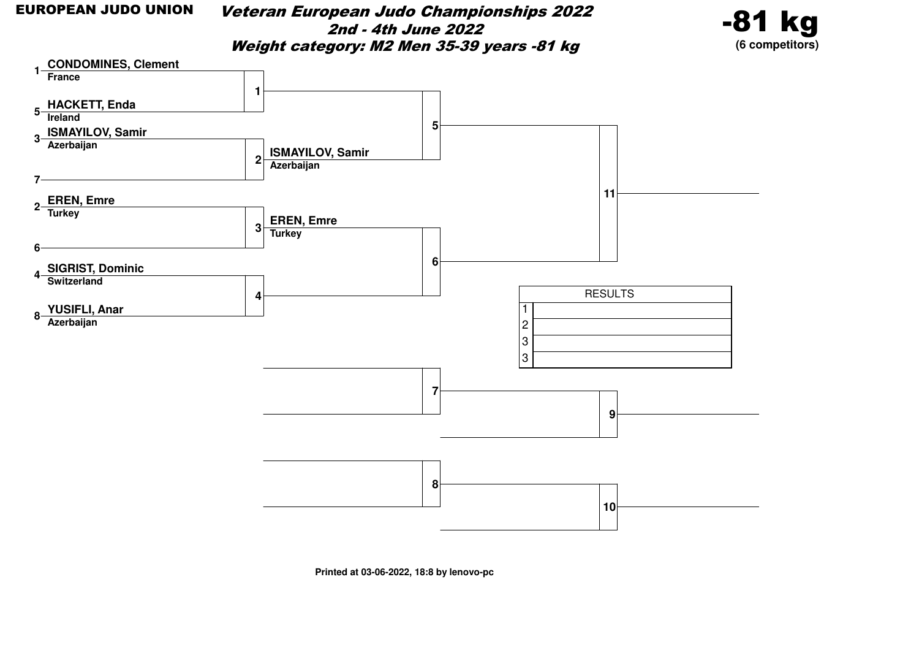Veteran European Judo Championships 20222nd - 4th June 2022Weight category: M2 Men 35-39 years -81 kg





**Printed at 03-06-2022, 18:8 by lenovo-pc**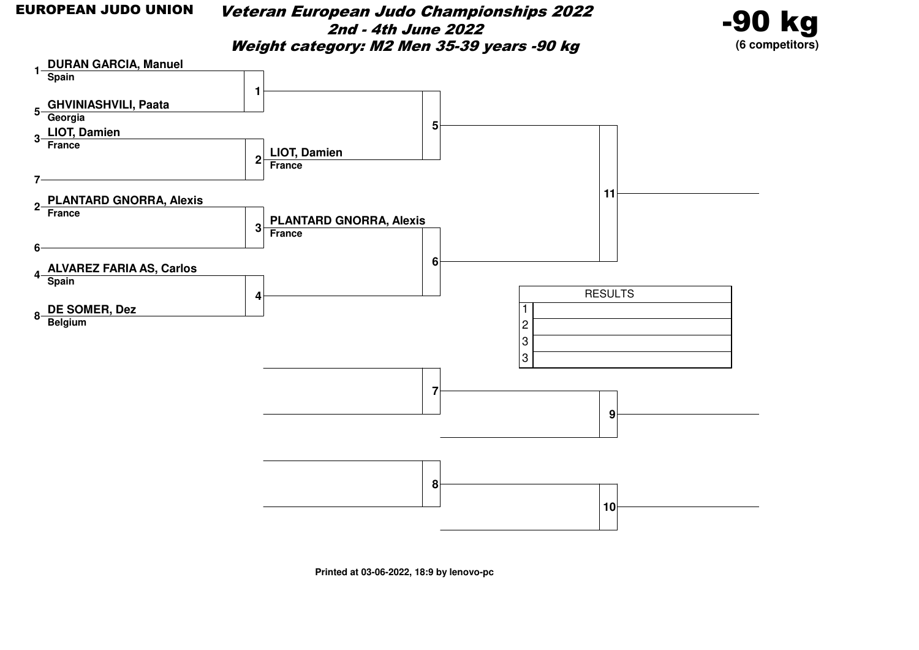Veteran European Judo Championships 20222nd - 4th June 2022Weight category: M2 Men 35-39 years -90 kg





**Printed at 03-06-2022, 18:9 by lenovo-pc**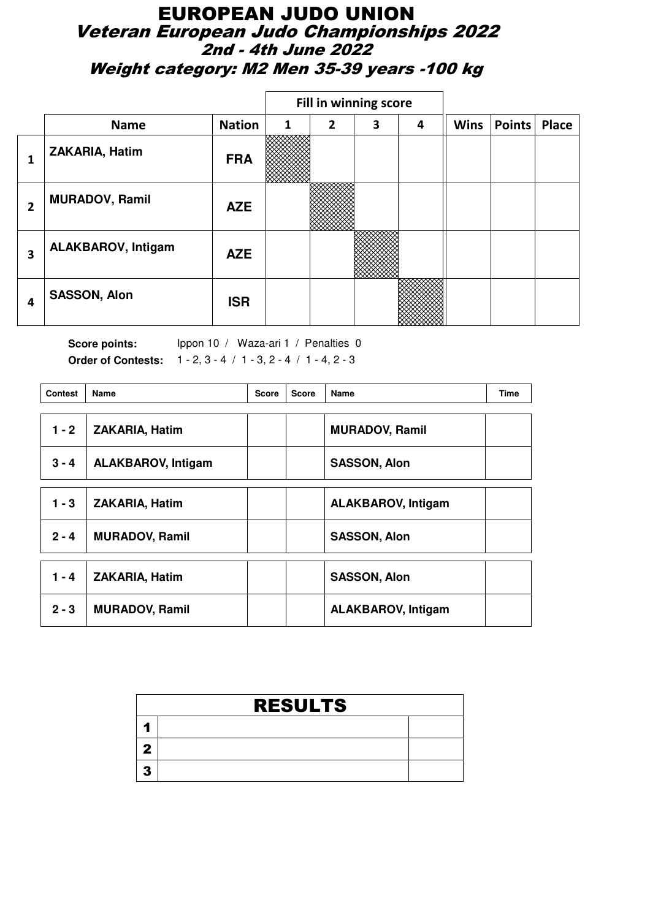### EUROPEAN JUDO UNION Veteran European Judo Championships 2022 2nd - 4th June 2022 Weight category: M2 Men 35-39 years -100 kg

|   |                           |               |   |                | Fill in winning score |   |             |        |       |
|---|---------------------------|---------------|---|----------------|-----------------------|---|-------------|--------|-------|
|   | <b>Name</b>               | <b>Nation</b> | 1 | $\overline{2}$ | 3                     | 4 | <b>Wins</b> | Points | Place |
| ┸ | ZAKARIA, Hatim            | <b>FRA</b>    |   |                |                       |   |             |        |       |
| 2 | <b>MURADOV, Ramil</b>     | <b>AZE</b>    |   |                |                       |   |             |        |       |
| 3 | <b>ALAKBAROV, Intigam</b> | <b>AZE</b>    |   |                |                       |   |             |        |       |
| 4 | <b>SASSON, Alon</b>       | <b>ISR</b>    |   |                |                       |   |             |        |       |

| <b>Contest</b> | <b>Name</b>               | <b>Score</b> | <b>Score</b> | Name                      | <b>Time</b> |
|----------------|---------------------------|--------------|--------------|---------------------------|-------------|
| $1 - 2$        | <b>ZAKARIA, Hatim</b>     |              |              | <b>MURADOV, Ramil</b>     |             |
| $3 - 4$        | <b>ALAKBAROV, Intigam</b> |              |              | <b>SASSON, Alon</b>       |             |
| $1 - 3$        | ZAKARIA, Hatim            |              |              | <b>ALAKBAROV, Intigam</b> |             |
| $2 - 4$        | <b>MURADOV, Ramil</b>     |              |              | <b>SASSON, Alon</b>       |             |
| $1 - 4$        | <b>ZAKARIA, Hatim</b>     |              |              | <b>SASSON, Alon</b>       |             |
| $2 - 3$        | <b>MURADOV, Ramil</b>     |              |              | <b>ALAKBAROV, Intigam</b> |             |

| <b>RESULTS</b> |  |  |  |  |  |  |  |
|----------------|--|--|--|--|--|--|--|
|                |  |  |  |  |  |  |  |
|                |  |  |  |  |  |  |  |
|                |  |  |  |  |  |  |  |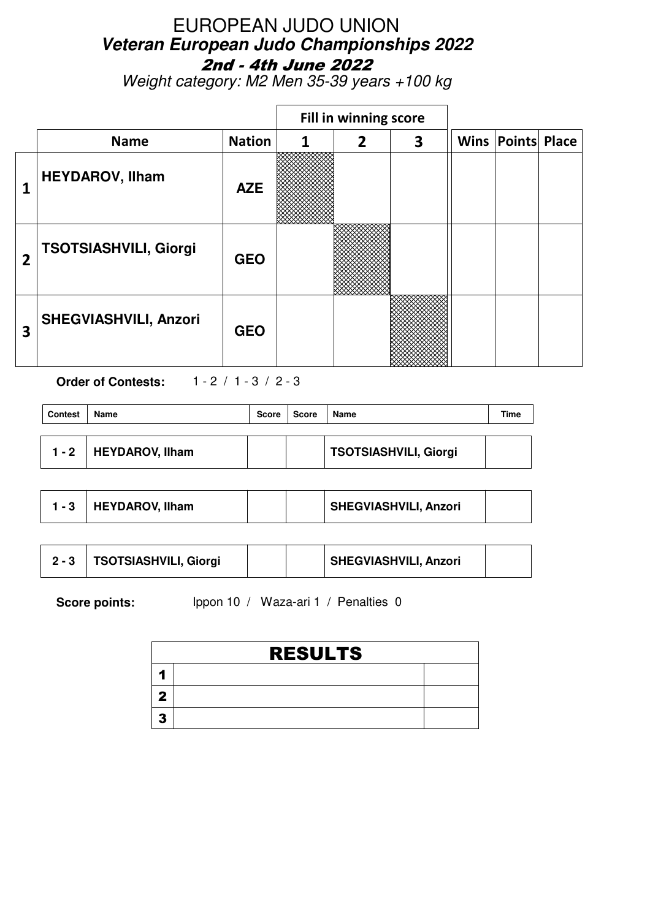Weight category: M2 Men 35-39 years +100 kg

|                |                              |               |   | Fill in winning score |   |                          |  |
|----------------|------------------------------|---------------|---|-----------------------|---|--------------------------|--|
|                | <b>Name</b>                  | <b>Nation</b> | 1 | $\overline{2}$        | 3 | <b>Wins Points Place</b> |  |
| 1              | <b>HEYDAROV, Ilham</b>       | <b>AZE</b>    |   |                       |   |                          |  |
| $\overline{2}$ | <b>TSOTSIASHVILI, Giorgi</b> | <b>GEO</b>    |   |                       |   |                          |  |
| 3              | <b>SHEGVIASHVILI, Anzori</b> | <b>GEO</b>    |   |                       |   |                          |  |

**Order of Contests:** 1 - 2 / 1 - 3 / 2 - 3

| <b>Contest</b> | Name            | <b>Score</b> | <b>Score</b> | Name                  | Time |
|----------------|-----------------|--------------|--------------|-----------------------|------|
| 1 - 2          | HEYDAROV, Ilham |              |              | TSOTSIASHVILI, Giorgi |      |

|  | <b>HEYDAROV, Ilham</b> |  |  | SHEGVIASHVILI, Anzori |  |
|--|------------------------|--|--|-----------------------|--|
|--|------------------------|--|--|-----------------------|--|

|  | <b>TSOTSIASHVILI, Giorgi</b> |  |  | SHEGVIASHVILI, Anzori |  |
|--|------------------------------|--|--|-----------------------|--|
|--|------------------------------|--|--|-----------------------|--|

|    | <b>RESULTS</b> |  |  |  |  |  |  |  |
|----|----------------|--|--|--|--|--|--|--|
|    |                |  |  |  |  |  |  |  |
|    |                |  |  |  |  |  |  |  |
| 49 |                |  |  |  |  |  |  |  |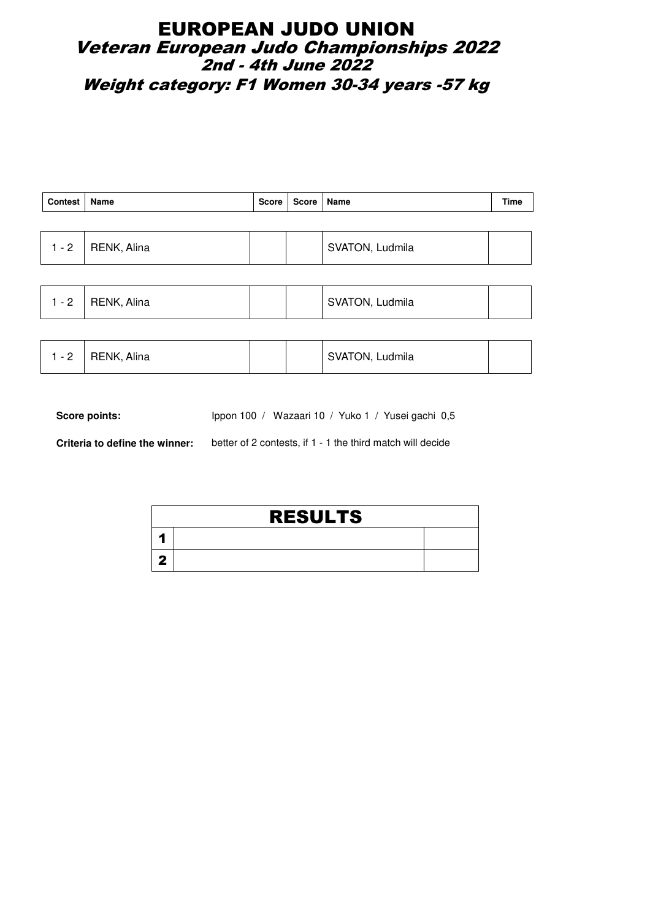### EUROPEAN JUDO UNION Veteran European Judo Championships 2022  $\dot{\texttt{2}}$ nd - 4th June 2022 Weight category: F1 Women 30-34 years -57 kg

| Contest   Name |                     | Score   Score   Name |                 | Time |
|----------------|---------------------|----------------------|-----------------|------|
|                |                     |                      |                 |      |
|                | $1 - 2$ RENK, Alina |                      | SVATON, Ludmila |      |

| - 2 | RENK, Alina |  |  | SVATON, Ludmila |  |
|-----|-------------|--|--|-----------------|--|
|-----|-------------|--|--|-----------------|--|

| 1 - 2 | <sup>1</sup> RENK, Alina |  |  | SVATON, Ludmila |  |
|-------|--------------------------|--|--|-----------------|--|
|-------|--------------------------|--|--|-----------------|--|

Score points: Ippon 100 / Wazaari 10 / Yuko 1 / Yusei gachi 0,5

**Criteria to define the winner:** better of 2 contests, if 1 - 1 the third match will decide

| <b>RESULTS</b> |  |  |  |  |  |  |  |  |
|----------------|--|--|--|--|--|--|--|--|
|                |  |  |  |  |  |  |  |  |
|                |  |  |  |  |  |  |  |  |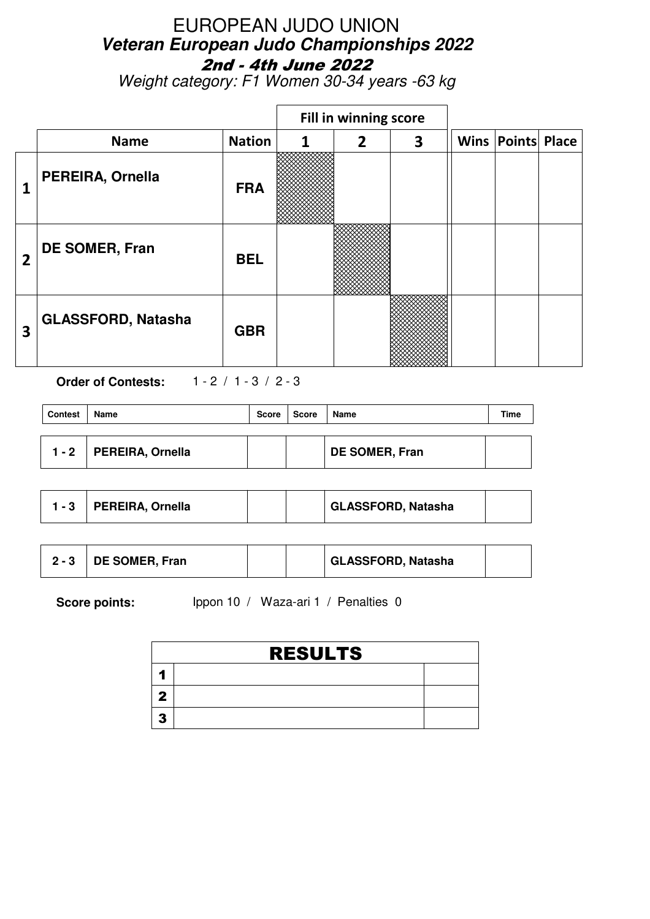Weight category: F1 Women 30-34 years -63 kg

|                |                           |               |   | Fill in winning score |   |                          |  |
|----------------|---------------------------|---------------|---|-----------------------|---|--------------------------|--|
|                | <b>Name</b>               | <b>Nation</b> | 1 | $\overline{2}$        | 3 | <b>Wins Points Place</b> |  |
| 1              | PEREIRA, Ornella          | <b>FRA</b>    |   |                       |   |                          |  |
| $\overline{2}$ | DE SOMER, Fran            | <b>BEL</b>    |   |                       |   |                          |  |
| 3              | <b>GLASSFORD, Natasha</b> | <b>GBR</b>    |   |                       |   |                          |  |

**Order of Contests:** 1 - 2 / 1 - 3 / 2 - 3

| <b>Contest</b> | Name                    | Score | Score | <b>Name</b>           | Time |
|----------------|-------------------------|-------|-------|-----------------------|------|
|                |                         |       |       |                       |      |
| $1 - 2$        | <b>PEREIRA, Ornella</b> |       |       | <b>DE SOMER, Fran</b> |      |

| $1 - 3$ . | PEREIRA, Ornella |  |  | GLASSFORD, Natasha |  |
|-----------|------------------|--|--|--------------------|--|
|-----------|------------------|--|--|--------------------|--|

|  | DE SOMER, Fran |  |  | GLASSFORD, Natasha |  |
|--|----------------|--|--|--------------------|--|
|--|----------------|--|--|--------------------|--|

| <b>RESULTS</b> |  |  |  |  |
|----------------|--|--|--|--|
|                |  |  |  |  |
|                |  |  |  |  |
|                |  |  |  |  |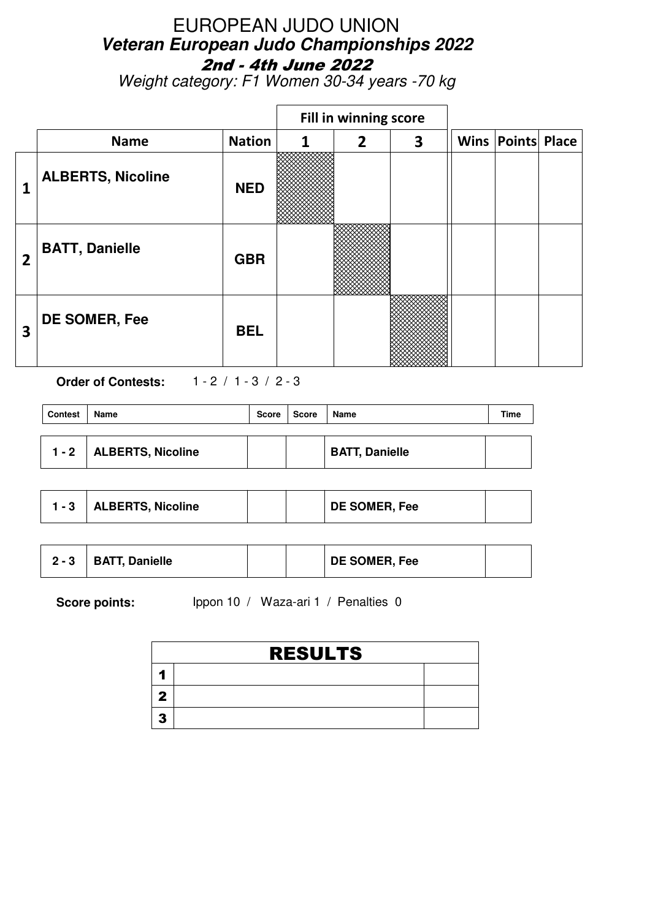Weight category: F1 Women 30-34 years -70 kg

|                         |                          |               | Fill in winning score |                |   |                          |  |
|-------------------------|--------------------------|---------------|-----------------------|----------------|---|--------------------------|--|
|                         | <b>Name</b>              | <b>Nation</b> | 1                     | $\overline{2}$ | 3 | <b>Wins Points Place</b> |  |
| 1                       | <b>ALBERTS, Nicoline</b> | <b>NED</b>    |                       |                |   |                          |  |
| $\overline{2}$          | <b>BATT, Danielle</b>    | <b>GBR</b>    |                       |                |   |                          |  |
| $\overline{\mathbf{3}}$ | DE SOMER, Fee            | <b>BEL</b>    |                       |                |   |                          |  |

**Order of Contests:** 1 - 2 / 1 - 3 / 2 - 3

| <b>Contest</b> | Name                      | Score | Score | Name                  | Time |
|----------------|---------------------------|-------|-------|-----------------------|------|
|                | 1 - 2   ALBERTS, Nicoline |       |       | <b>BATT, Danielle</b> |      |

|  | ALBERTS, Nicoline |  |  | DE SOMER, Fee |  |
|--|-------------------|--|--|---------------|--|
|--|-------------------|--|--|---------------|--|

| $2 - 3$ | <b>BATT, Danielle</b> |  | DE SOMER, Fee |  |
|---------|-----------------------|--|---------------|--|
|         |                       |  |               |  |

| <b>RESULTS</b> |  |  |  |  |
|----------------|--|--|--|--|
|                |  |  |  |  |
|                |  |  |  |  |
|                |  |  |  |  |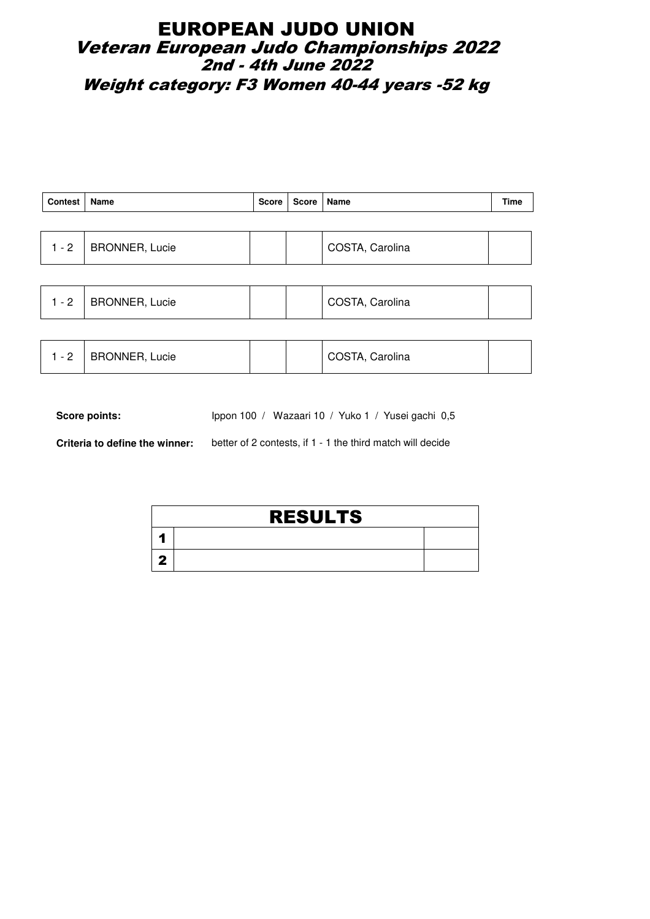#### EUROPEAN JUDO UNION Veteran European Judo Championships 2022  $\dot{\texttt{2}}$ nd - 4th June 2022 Weight category: F3 Women 40-44 years -52 kg

| Contest   Name |                | Score   Score   Name |                 | Time |
|----------------|----------------|----------------------|-----------------|------|
|                |                |                      |                 |      |
| $1 - 2$        | BRONNER, Lucie |                      | COSTA, Carolina |      |

| BRONNER, Lucie<br>$-2$<br><sup>1</sup> COSTA, Carolina<br><u>_</u> |
|--------------------------------------------------------------------|
|--------------------------------------------------------------------|

| - 2 | <b>BRONNER, Lucie</b> |  |  | COSTA, Carolina |  |
|-----|-----------------------|--|--|-----------------|--|
|-----|-----------------------|--|--|-----------------|--|

Score points: Ippon 100 / Wazaari 10 / Yuko 1 / Yusei gachi 0,5

**Criteria to define the winner:** better of 2 contests, if 1 - 1 the third match will decide

| <b>RESULTS</b> |  |
|----------------|--|
|                |  |
|                |  |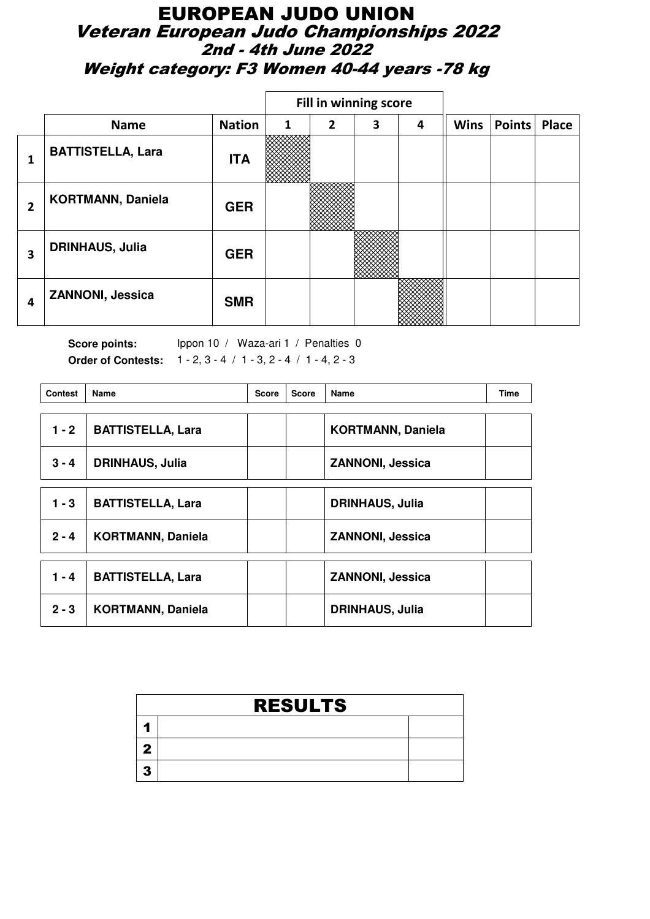### EUROPEAN JUDO UNION Veteran European Judo Championships 2022 2nd - 4th June 2022 Weight category: F3 Women 40-44 years -78 kg

|                |                          |               |              |   | Fill in winning score |   |             |        |              |
|----------------|--------------------------|---------------|--------------|---|-----------------------|---|-------------|--------|--------------|
|                | <b>Name</b>              | <b>Nation</b> | $\mathbf{1}$ | 2 | 3                     | 4 | <b>Wins</b> | Points | <b>Place</b> |
| 1              | <b>BATTISTELLA, Lara</b> | <b>ITA</b>    |              |   |                       |   |             |        |              |
| $\overline{2}$ | <b>KORTMANN, Daniela</b> | <b>GER</b>    |              |   |                       |   |             |        |              |
| 3              | <b>DRINHAUS, Julia</b>   | <b>GER</b>    |              |   |                       |   |             |        |              |
| 4              | <b>ZANNONI, Jessica</b>  | <b>SMR</b>    |              |   |                       |   |             |        |              |

| <b>Contest</b> | <b>Name</b>              | <b>Score</b> | <b>Score</b> | Name                     | <b>Time</b> |
|----------------|--------------------------|--------------|--------------|--------------------------|-------------|
| $1 - 2$        | <b>BATTISTELLA, Lara</b> |              |              | <b>KORTMANN, Daniela</b> |             |
| $3 - 4$        | <b>DRINHAUS, Julia</b>   |              |              | <b>ZANNONI, Jessica</b>  |             |
| $1 - 3$        | <b>BATTISTELLA, Lara</b> |              |              | <b>DRINHAUS, Julia</b>   |             |
| $2 - 4$        | <b>KORTMANN, Daniela</b> |              |              | <b>ZANNONI, Jessica</b>  |             |
| $1 - 4$        | <b>BATTISTELLA, Lara</b> |              |              | <b>ZANNONI, Jessica</b>  |             |
| $2 - 3$        | <b>KORTMANN, Daniela</b> |              |              | <b>DRINHAUS, Julia</b>   |             |

| <b>RESULTS</b> |  |  |  |  |  |  |  |  |
|----------------|--|--|--|--|--|--|--|--|
|                |  |  |  |  |  |  |  |  |
|                |  |  |  |  |  |  |  |  |
|                |  |  |  |  |  |  |  |  |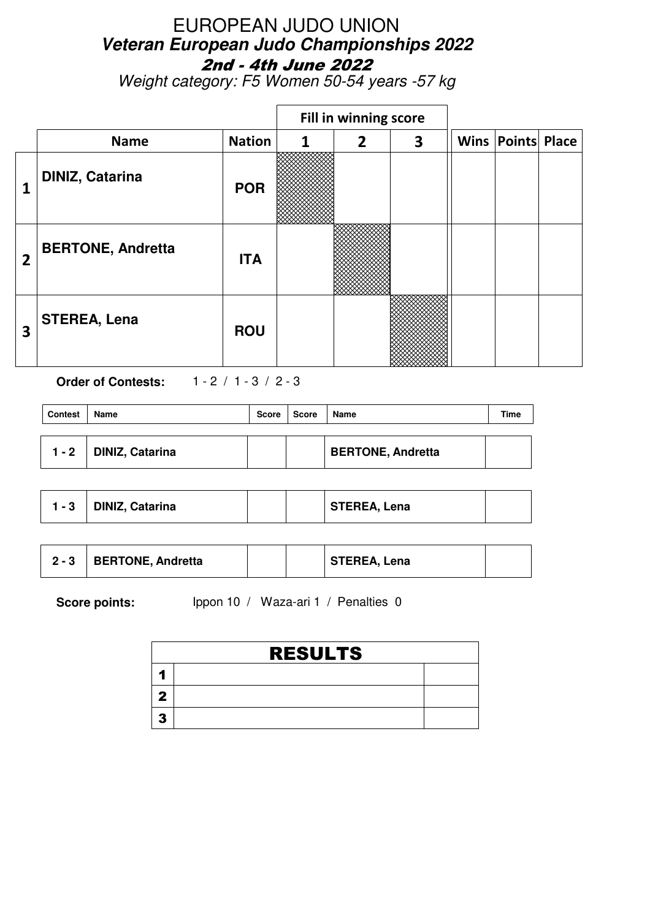Weight category: F5 Women 50-54 years -57 kg

|                         |                          |               |   | Fill in winning score |   |                          |  |
|-------------------------|--------------------------|---------------|---|-----------------------|---|--------------------------|--|
|                         | <b>Name</b>              | <b>Nation</b> | 1 | $\overline{2}$        | 3 | <b>Wins Points Place</b> |  |
|                         | <b>DINIZ, Catarina</b>   | <b>POR</b>    |   |                       |   |                          |  |
| $\overline{2}$          | <b>BERTONE, Andretta</b> | <b>ITA</b>    |   |                       |   |                          |  |
| $\overline{\mathbf{3}}$ | <b>STEREA, Lena</b>      | <b>ROU</b>    |   |                       |   |                          |  |

**Order of Contests:** 1 - 2 / 1 - 3 / 2 - 3

| <b>Contest</b> | Name            | <b>Score</b> | Score | Name                     | Time |
|----------------|-----------------|--------------|-------|--------------------------|------|
| $1 - 2$        | DINIZ, Catarina |              |       | <b>BERTONE, Andretta</b> |      |

| l - 3 | <b>DINIZ, Catarina</b> |  |  | STEREA, Lena |  |
|-------|------------------------|--|--|--------------|--|
|-------|------------------------|--|--|--------------|--|

| <b>BERTONE, Andretta</b><br>STEREA, Lena<br>$2 - 3$ |
|-----------------------------------------------------|
|-----------------------------------------------------|

| <b>RESULTS</b> |  |  |  |  |  |  |  |
|----------------|--|--|--|--|--|--|--|
|                |  |  |  |  |  |  |  |
|                |  |  |  |  |  |  |  |
|                |  |  |  |  |  |  |  |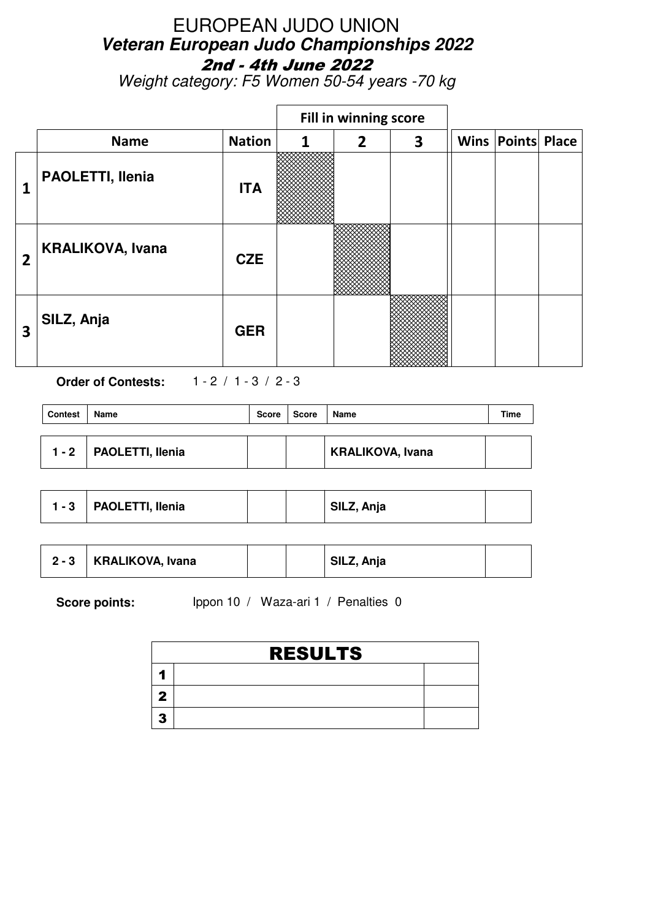Weight category: F5 Women 50-54 years -70 kg

|                |                         |               |   | Fill in winning score |   |                          |  |
|----------------|-------------------------|---------------|---|-----------------------|---|--------------------------|--|
|                | <b>Name</b>             | <b>Nation</b> | 1 | $\overline{2}$        | 3 | <b>Wins Points Place</b> |  |
| 1              | PAOLETTI, Ilenia        | <b>ITA</b>    |   |                       |   |                          |  |
| $\overline{2}$ | <b>KRALIKOVA, Ivana</b> | <b>CZE</b>    |   |                       |   |                          |  |
| 3              | SILZ, Anja              | <b>GER</b>    |   |                       |   |                          |  |

**Order of Contests:** 1 - 2 / 1 - 3 / 2 - 3

| <b>Contest</b> | Name             | <b>Score</b> | <b>Score</b> | Name                    | Time |
|----------------|------------------|--------------|--------------|-------------------------|------|
| $1 - 2$        | PAOLETTI, Ilenia |              |              | <b>KRALIKOVA, Ivana</b> |      |

|  | $1 - 3$ <b>PAOLETTI, Ilenia</b> |  |  | SILZ, Anja |  |
|--|---------------------------------|--|--|------------|--|
|--|---------------------------------|--|--|------------|--|

| $2 - 3$ | <b>KRALIKOVA, Ivana</b> |  | SILZ, Anja |  |
|---------|-------------------------|--|------------|--|
|         |                         |  |            |  |

| <b>RESULTS</b> |  |  |  |  |
|----------------|--|--|--|--|
|                |  |  |  |  |
|                |  |  |  |  |
|                |  |  |  |  |